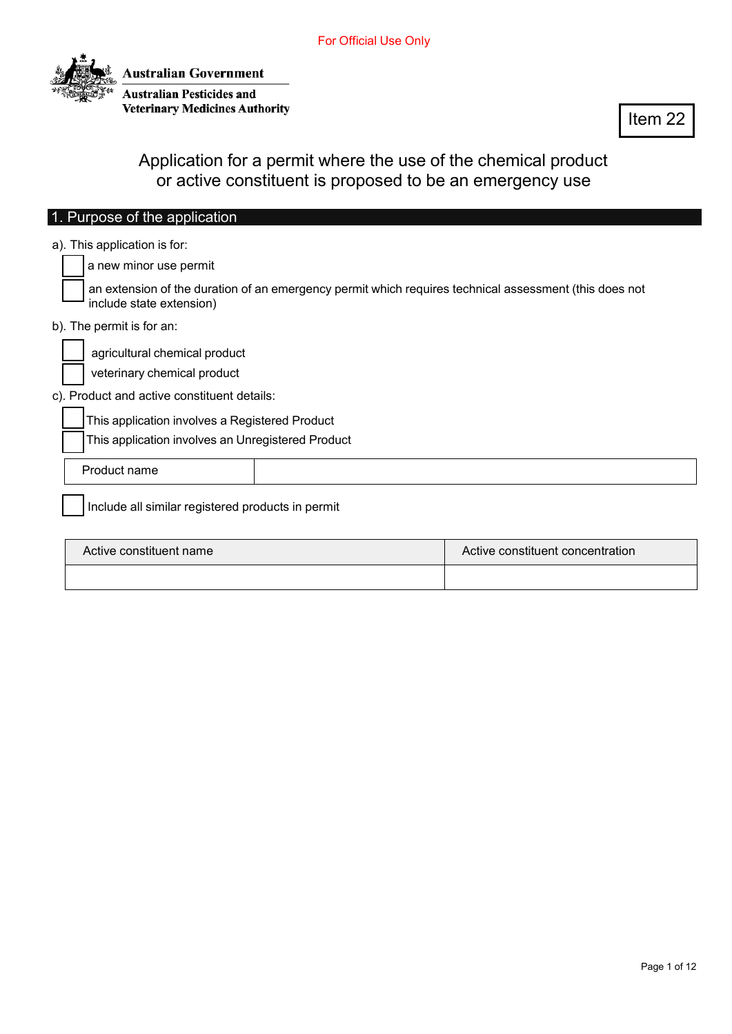

Item 22

Application for a permit where the use of the chemical product or active constituent is proposed to be an emergency use

| 1. Purpose of the application                                                                                                                                                                                      |                                  |
|--------------------------------------------------------------------------------------------------------------------------------------------------------------------------------------------------------------------|----------------------------------|
| a). This application is for:<br>a new minor use permit                                                                                                                                                             |                                  |
| an extension of the duration of an emergency permit which requires technical assessment (this does not<br>include state extension)                                                                                 |                                  |
| b). The permit is for an:                                                                                                                                                                                          |                                  |
| agricultural chemical product<br>veterinary chemical product<br>c). Product and active constituent details:<br>This application involves a Registered Product<br>This application involves an Unregistered Product |                                  |
| Product name                                                                                                                                                                                                       |                                  |
| Include all similar registered products in permit                                                                                                                                                                  |                                  |
| Active constituent name                                                                                                                                                                                            | Active constituent concentration |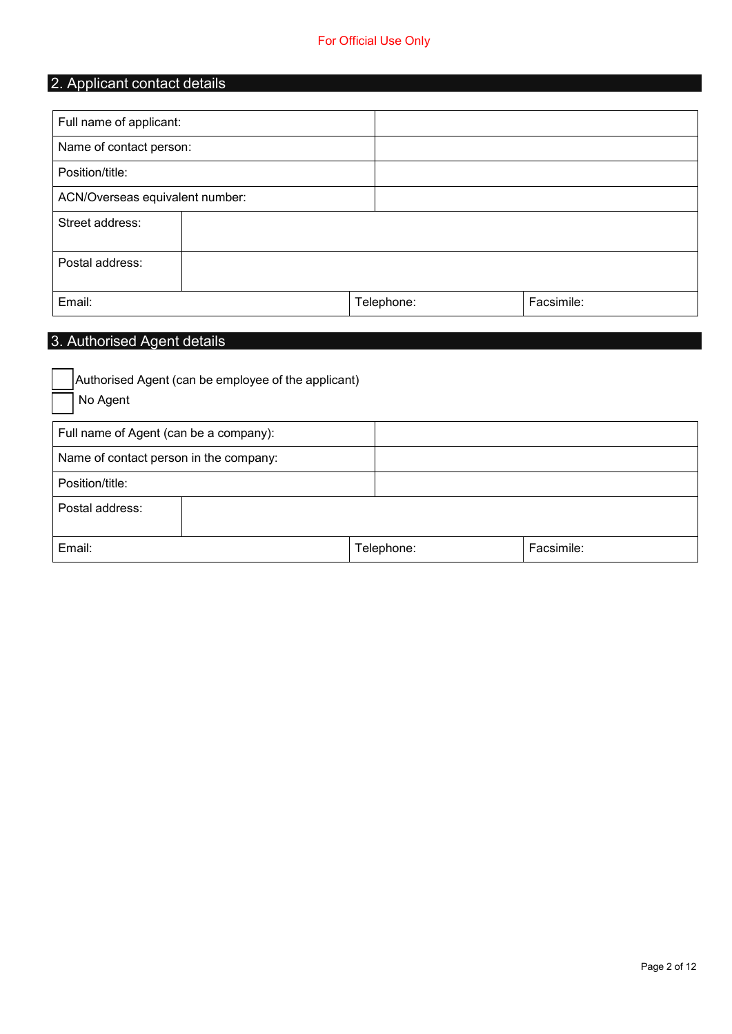| 2. Applicant contact details    |  |            |            |  |
|---------------------------------|--|------------|------------|--|
|                                 |  |            |            |  |
| Full name of applicant:         |  |            |            |  |
| Name of contact person:         |  |            |            |  |
| Position/title:                 |  |            |            |  |
| ACN/Overseas equivalent number: |  |            |            |  |
| Street address:                 |  |            |            |  |
| Postal address:                 |  |            |            |  |
| Email:                          |  | Telephone: | Facsimile: |  |

# 3. Authorised Agent details

| Authorised Agent (can be employee of the applicant) |            |            |
|-----------------------------------------------------|------------|------------|
| No Agent                                            |            |            |
| Full name of Agent (can be a company):              |            |            |
| Name of contact person in the company:              |            |            |
| Position/title:                                     |            |            |
| Postal address:                                     |            |            |
| Email:                                              | Telephone: | Facsimile: |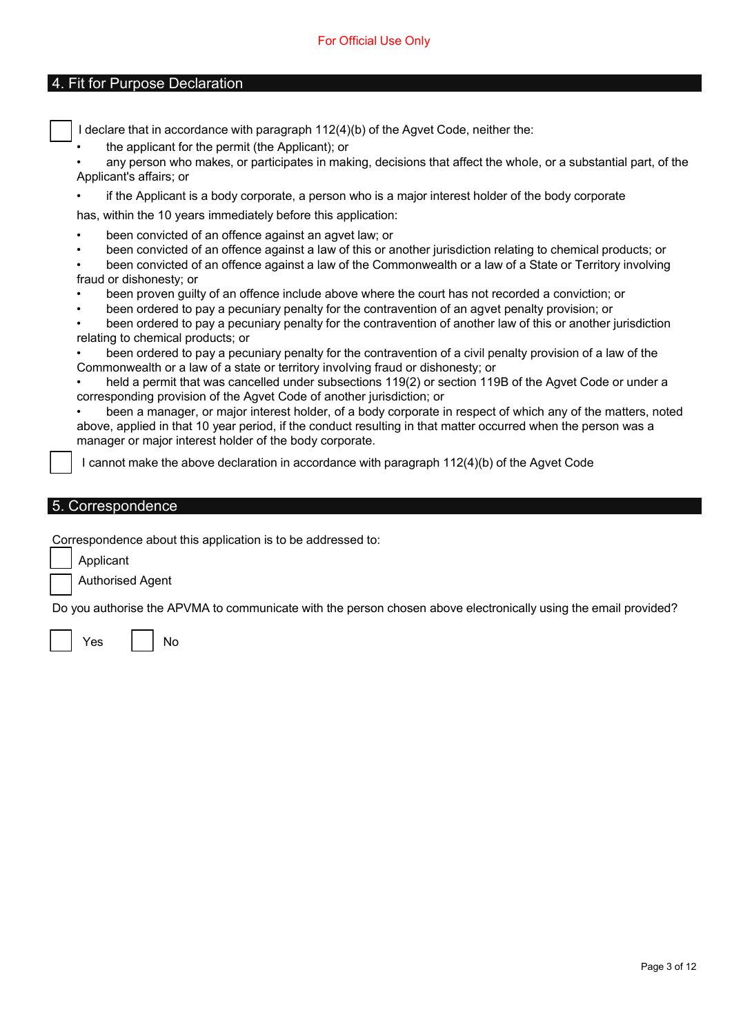### 4. Fit for Purpose Declaration

I declare that in accordance with paragraph 112(4)(b) of the Agvet Code, neither the:

the applicant for the permit (the Applicant); or

• any person who makes, or participates in making, decisions that affect the whole, or a substantial part, of the Applicant's affairs; or

• if the Applicant is a body corporate, a person who is a major interest holder of the body corporate

has, within the 10 years immediately before this application:

- been convicted of an offence against an agvet law; or
- been convicted of an offence against a law of this or another jurisdiction relating to chemical products; or

• been convicted of an offence against a law of the Commonwealth or a law of a State or Territory involving fraud or dishonesty; or

- been proven guilty of an offence include above where the court has not recorded a conviction; or
- been ordered to pay a pecuniary penalty for the contravention of an agvet penalty provision; or

• been ordered to pay a pecuniary penalty for the contravention of another law of this or another jurisdiction relating to chemical products; or

• been ordered to pay a pecuniary penalty for the contravention of a civil penalty provision of a law of the Commonwealth or a law of a state or territory involving fraud or dishonesty; or

held a permit that was cancelled under subsections 119(2) or section 119B of the Agvet Code or under a corresponding provision of the Agvet Code of another jurisdiction; or

• been a manager, or major interest holder, of a body corporate in respect of which any of the matters, noted above, applied in that 10 year period, if the conduct resulting in that matter occurred when the person was a manager or major interest holder of the body corporate.

I cannot make the above declaration in accordance with paragraph 112(4)(b) of the Agvet Code

## 5. Correspondence

Correspondence about this application is to be addressed to:

Applicant

Authorised Agent

Do you authorise the APVMA to communicate with the person chosen above electronically using the email provided?

Yes I I No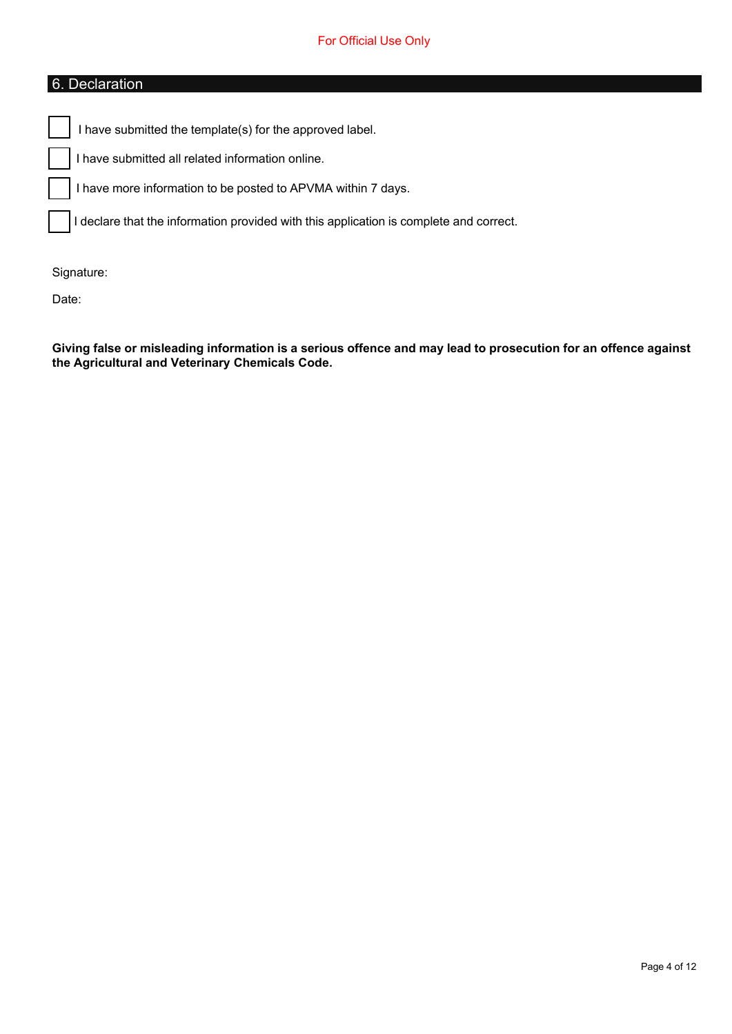## 6. Declaration

I have submitted the template(s) for the approved label.

I have submitted all related information online.

I have more information to be posted to APVMA within 7 days.

I declare that the information provided with this application is complete and correct.

Signature:

Date:

Giving false or misleading information is a serious offence and may lead to prosecution for an offence against **the Agricultural and Veterinary Chemicals Code.**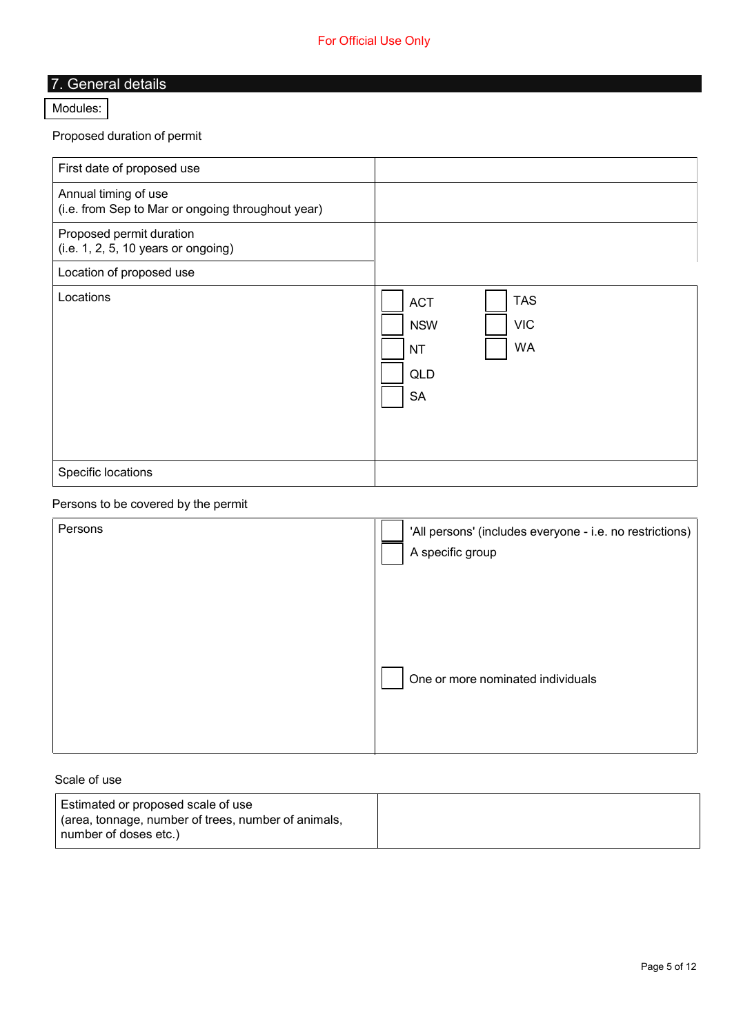# 7. General details

#### [Modules:](https://apvma.gov.au/taxonomy/term/17521)

Proposed duration of permit

| First date of proposed use                                                |                                                                                                    |
|---------------------------------------------------------------------------|----------------------------------------------------------------------------------------------------|
| Annual timing of use<br>(i.e. from Sep to Mar or ongoing throughout year) |                                                                                                    |
| Proposed permit duration<br>$(i.e. 1, 2, 5, 10 \text{ years or ongoing})$ |                                                                                                    |
| Location of proposed use                                                  |                                                                                                    |
| Locations                                                                 | <b>TAS</b><br><b>ACT</b><br><b>VIC</b><br><b>NSW</b><br><b>WA</b><br><b>NT</b><br>QLD<br><b>SA</b> |
| Specific locations                                                        |                                                                                                    |

## Persons to be covered by the permit

| Persons | 'All persons' (includes everyone - i.e. no restrictions)<br>A specific group |
|---------|------------------------------------------------------------------------------|
|         | One or more nominated individuals                                            |

### Scale of use

| ' Estimated or proposed scale of use                |  |
|-----------------------------------------------------|--|
| (area, tonnage, number of trees, number of animals, |  |
| number of doses etc.)                               |  |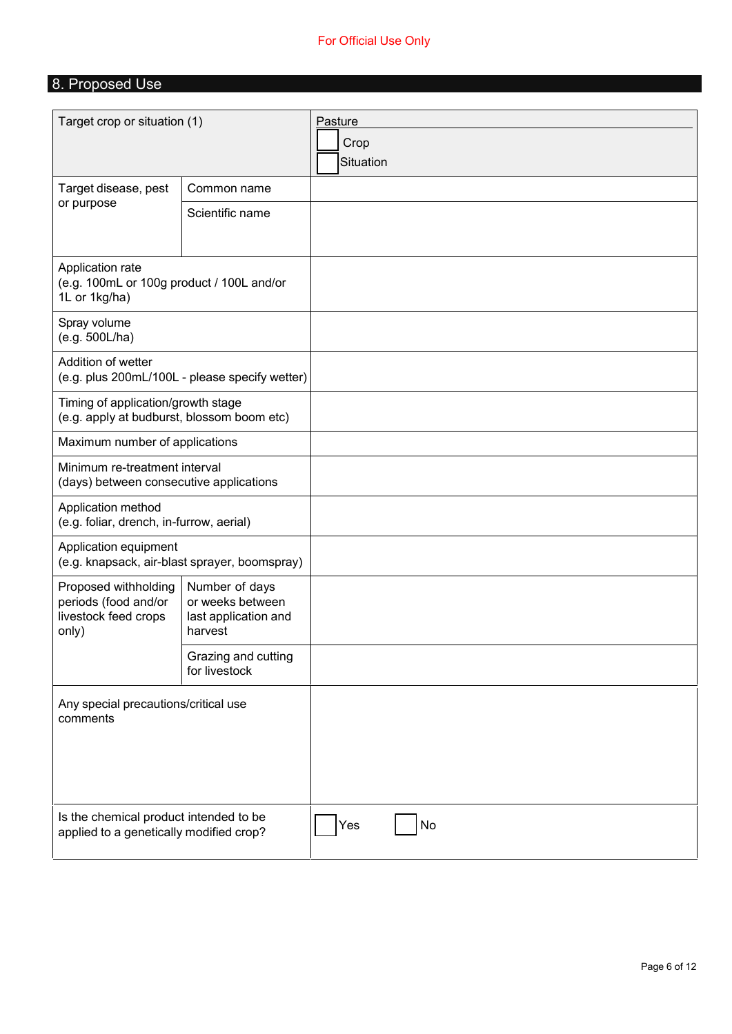## For Official Use Only

# 8. Proposed Use

| Target crop or situation (1)                                                      |                                                                       | Pasture<br>Crop<br>Situation |
|-----------------------------------------------------------------------------------|-----------------------------------------------------------------------|------------------------------|
| Target disease, pest                                                              | Common name                                                           |                              |
| or purpose                                                                        | Scientific name                                                       |                              |
| Application rate<br>(e.g. 100mL or 100g product / 100L and/or<br>1L or 1kg/ha)    |                                                                       |                              |
| Spray volume<br>(e.g. 500L/ha)                                                    |                                                                       |                              |
| Addition of wetter                                                                | (e.g. plus 200mL/100L - please specify wetter)                        |                              |
| Timing of application/growth stage<br>(e.g. apply at budburst, blossom boom etc)  |                                                                       |                              |
| Maximum number of applications                                                    |                                                                       |                              |
| Minimum re-treatment interval<br>(days) between consecutive applications          |                                                                       |                              |
| Application method<br>(e.g. foliar, drench, in-furrow, aerial)                    |                                                                       |                              |
| Application equipment<br>(e.g. knapsack, air-blast sprayer, boomspray)            |                                                                       |                              |
| Proposed withholding<br>periods (food and/or<br>livestock feed crops<br>only)     | Number of days<br>or weeks between<br>last application and<br>harvest |                              |
|                                                                                   | Grazing and cutting<br>for livestock                                  |                              |
| Any special precautions/critical use<br>comments                                  |                                                                       |                              |
| Is the chemical product intended to be<br>applied to a genetically modified crop? |                                                                       | No<br>Yes                    |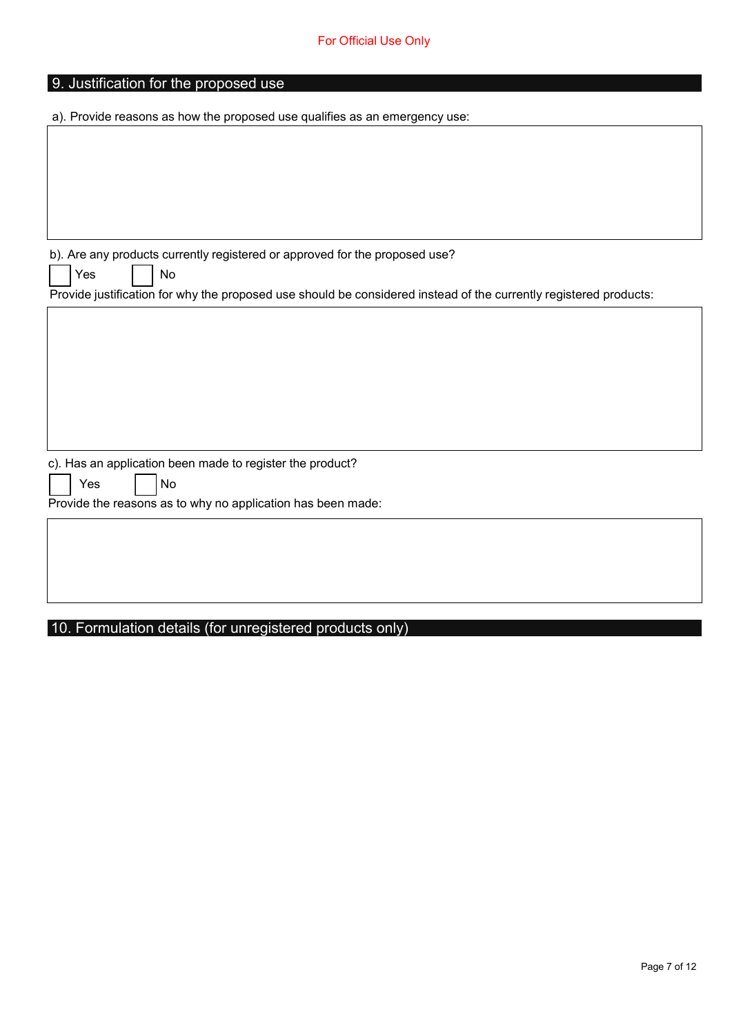| 9. Justification for the proposed use                                                                             |
|-------------------------------------------------------------------------------------------------------------------|
|                                                                                                                   |
| a). Provide reasons as how the proposed use qualifies as an emergency use:                                        |
|                                                                                                                   |
|                                                                                                                   |
|                                                                                                                   |
|                                                                                                                   |
|                                                                                                                   |
|                                                                                                                   |
|                                                                                                                   |
|                                                                                                                   |
| b). Are any products currently registered or approved for the proposed use?                                       |
| Yes<br>No                                                                                                         |
| Provide justification for why the proposed use should be considered instead of the currently registered products: |
|                                                                                                                   |
|                                                                                                                   |
|                                                                                                                   |
|                                                                                                                   |
|                                                                                                                   |
|                                                                                                                   |
|                                                                                                                   |
|                                                                                                                   |
|                                                                                                                   |
|                                                                                                                   |
| c). Has an application been made to register the product?                                                         |
| No<br>Yes                                                                                                         |
|                                                                                                                   |
| Provide the reasons as to why no application has been made:                                                       |
|                                                                                                                   |
|                                                                                                                   |
|                                                                                                                   |
|                                                                                                                   |
|                                                                                                                   |
|                                                                                                                   |
|                                                                                                                   |

## 10. Formulation details (for unregistered products only)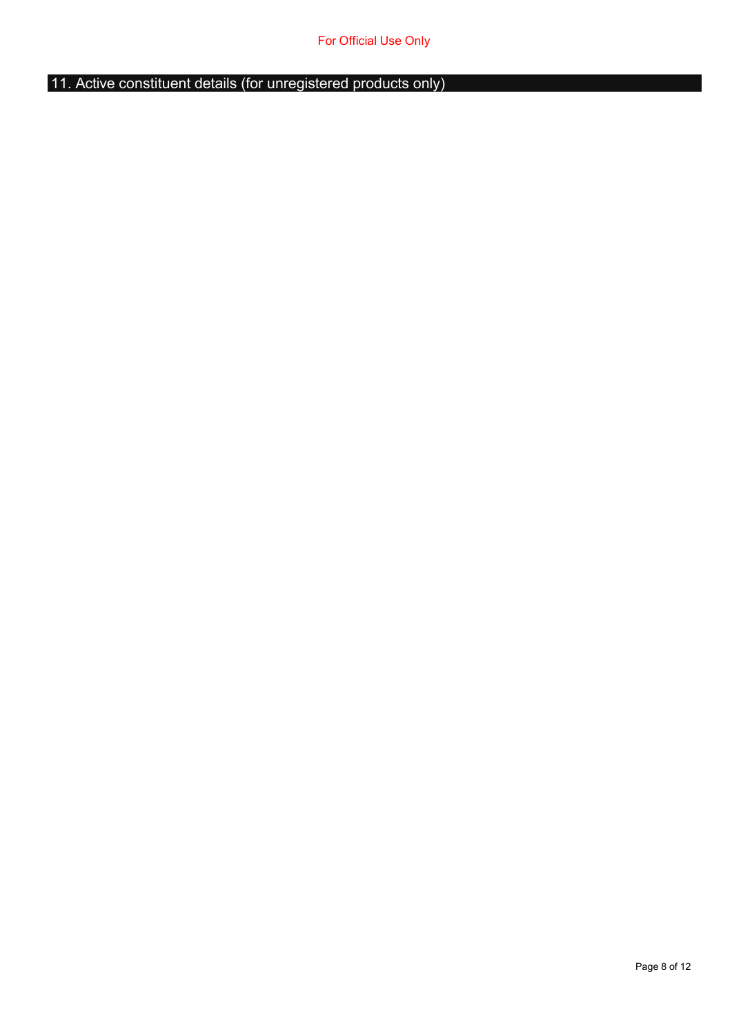11. Active constituent details (for unregistered products only)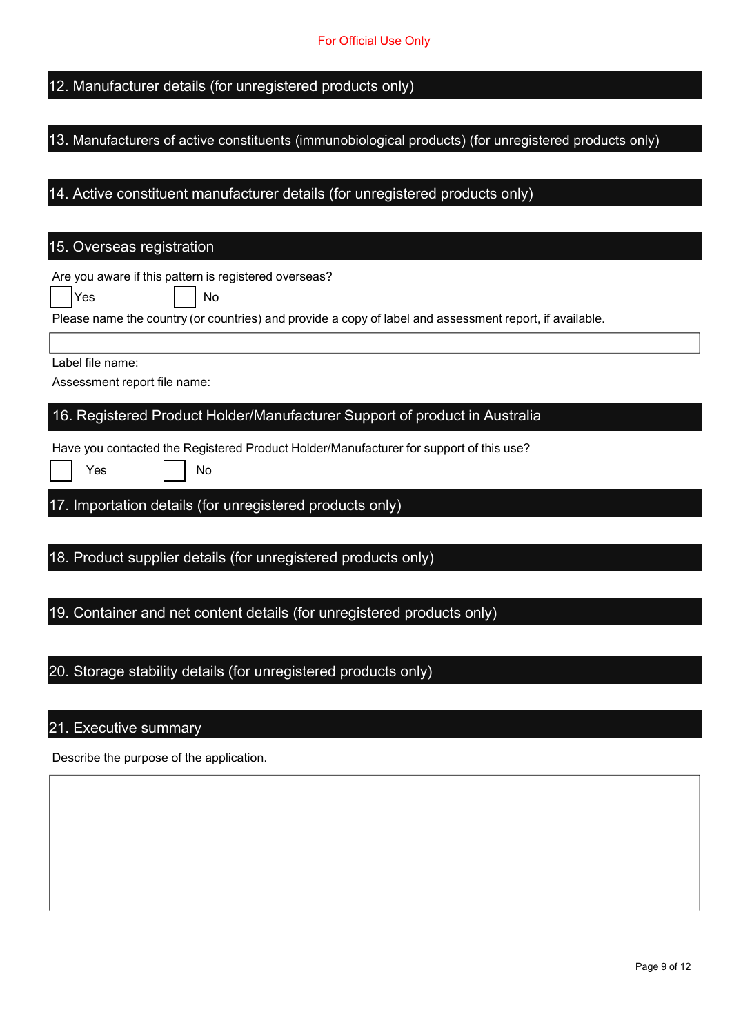## 12. Manufacturer details (for unregistered products only)

### 13. Manufacturers of active constituents (immunobiological products) (for unregistered products only)

## 14. Active constituent manufacturer details (for unregistered products only)

# 15. Overseas registration

| Are you aware if this pattern is registered overseas?<br>Yes<br>No                                      |
|---------------------------------------------------------------------------------------------------------|
| Please name the country (or countries) and provide a copy of label and assessment report, if available. |
| Label file name:<br>Assessment report file name:                                                        |
| 16. Registered Product Holder/Manufacturer Support of product in Australia                              |
| Have you contacted the Registered Product Holder/Manufacturer for support of this use?<br>Yes<br>No     |
| 17. Importation details (for unregistered products only)                                                |
| 18. Product supplier details (for unregistered products only)                                           |
| 19. Container and net content details (for unregistered products only)                                  |
| 20. Storage stability details (for unregistered products only)                                          |

## 21. Executive summary

Describe the purpose of the application.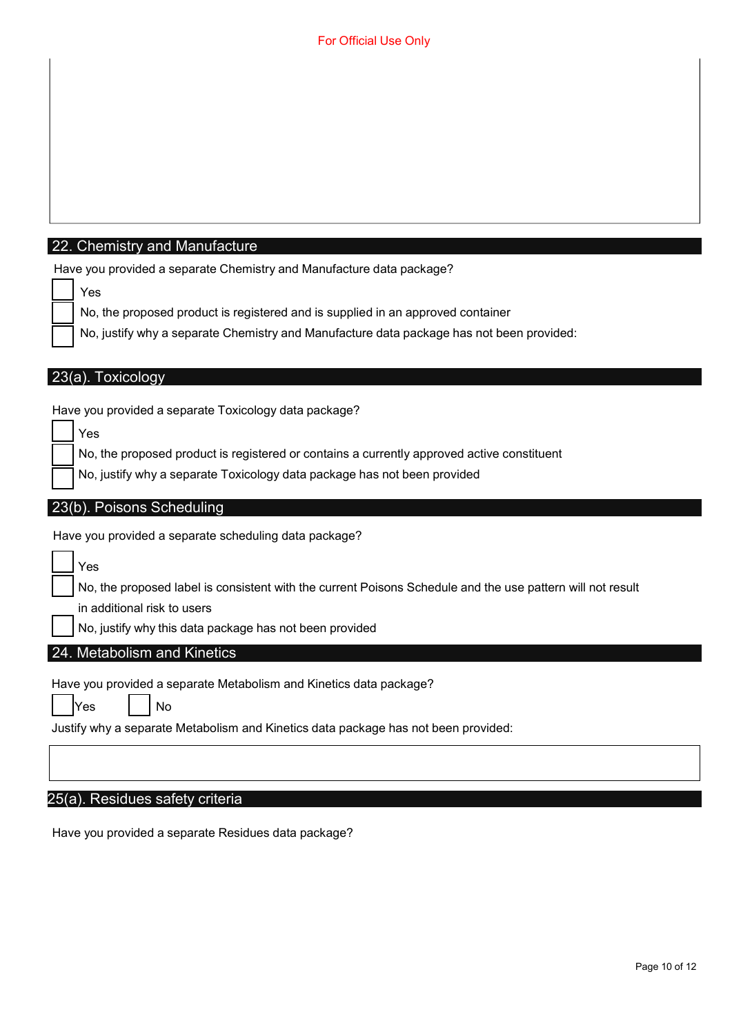#### 22. Chemistry and Manufacture

|  |  | Have you provided a separate Chemistry and Manufacture data package? |  |
|--|--|----------------------------------------------------------------------|--|
|--|--|----------------------------------------------------------------------|--|

|--|

No, the proposed product is registered and is supplied in an approved container

No, justify why a separate Chemistry and Manufacture data package has not been provided:

|  |  | 23(a). Toxicology |
|--|--|-------------------|
|  |  |                   |

Have you provided a separate Toxicology data package?

| <b>Yes</b>                                                                                 |
|--------------------------------------------------------------------------------------------|
| No, the proposed product is registered or contains a currently approved active constituent |

No, justify why a separate Toxicology data package has not been provided

#### 23(b). Poisons Scheduling

Have you provided a separate scheduling data package?

Yes

No, the proposed label is consistent with the current Poisons Schedule and the use pattern will not result

in additional risk to users

No, justify why this data package has not been provided

### 24. Metabolism and Kinetics

Have you provided a separate Metabolism and Kinetics data package?

| <b>IYes</b> | No |
|-------------|----|
|             |    |

Justify why a separate Metabolism and Kinetics data package has not been provided:

#### 25(a). Residues safety criteria

Have you provided a separate Residues data package?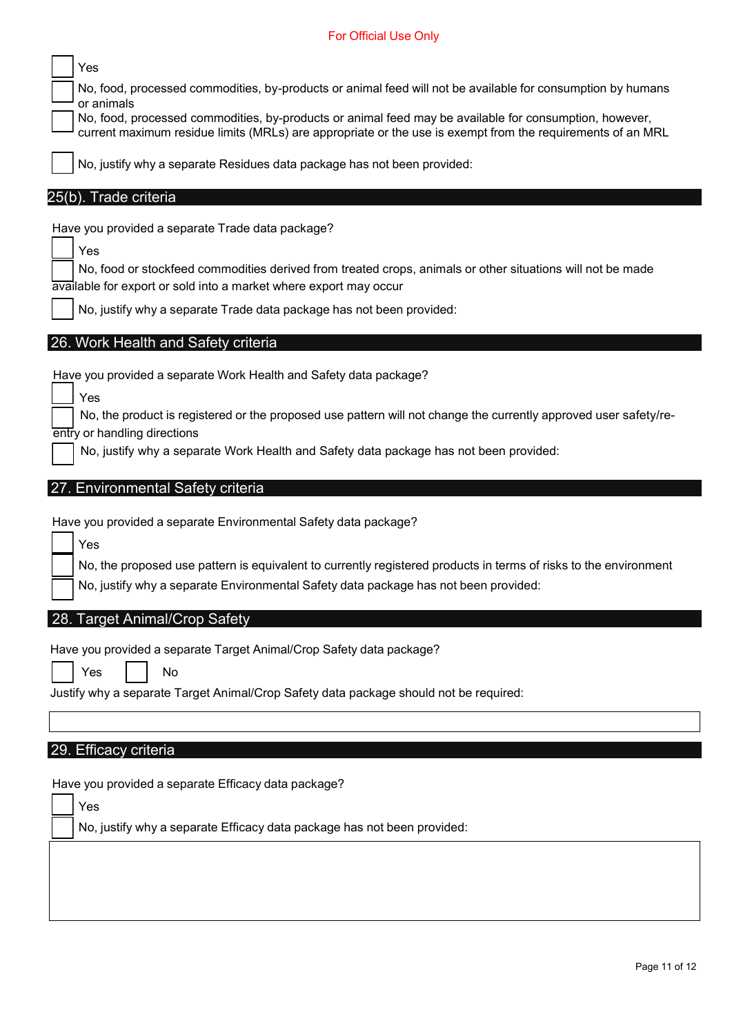### For Official Use Only

| Yes<br>No, food, processed commodities, by-products or animal feed will not be available for consumption by humans<br>or animals<br>No, food, processed commodities, by-products or animal feed may be available for consumption, however,<br>current maximum residue limits (MRLs) are appropriate or the use is exempt from the requirements of an MRL<br>No, justify why a separate Residues data package has not been provided:<br>25(b). Trade criteria |
|--------------------------------------------------------------------------------------------------------------------------------------------------------------------------------------------------------------------------------------------------------------------------------------------------------------------------------------------------------------------------------------------------------------------------------------------------------------|
| Have you provided a separate Trade data package?<br>Yes<br>No, food or stockfeed commodities derived from treated crops, animals or other situations will not be made<br>available for export or sold into a market where export may occur<br>No, justify why a separate Trade data package has not been provided:                                                                                                                                           |
| 26. Work Health and Safety criteria<br>Have you provided a separate Work Health and Safety data package?<br>Yes<br>No, the product is registered or the proposed use pattern will not change the currently approved user safety/re-<br>entry or handling directions<br>No, justify why a separate Work Health and Safety data package has not been provided:                                                                                                 |
| 27. Environmental Safety criteria<br>Have you provided a separate Environmental Safety data package?<br>Yes<br>No, the proposed use pattern is equivalent to currently registered products in terms of risks to the environment<br>No, justify why a separate Environmental Safety data package has not been provided:                                                                                                                                       |
| 28. Target Animal/Crop Safety<br>Have you provided a separate Target Animal/Crop Safety data package?<br>No<br>Yes<br>Justify why a separate Target Animal/Crop Safety data package should not be required:                                                                                                                                                                                                                                                  |
| 29. Efficacy criteria<br>Have you provided a separate Efficacy data package?<br>Yes<br>No, justify why a separate Efficacy data package has not been provided:                                                                                                                                                                                                                                                                                               |